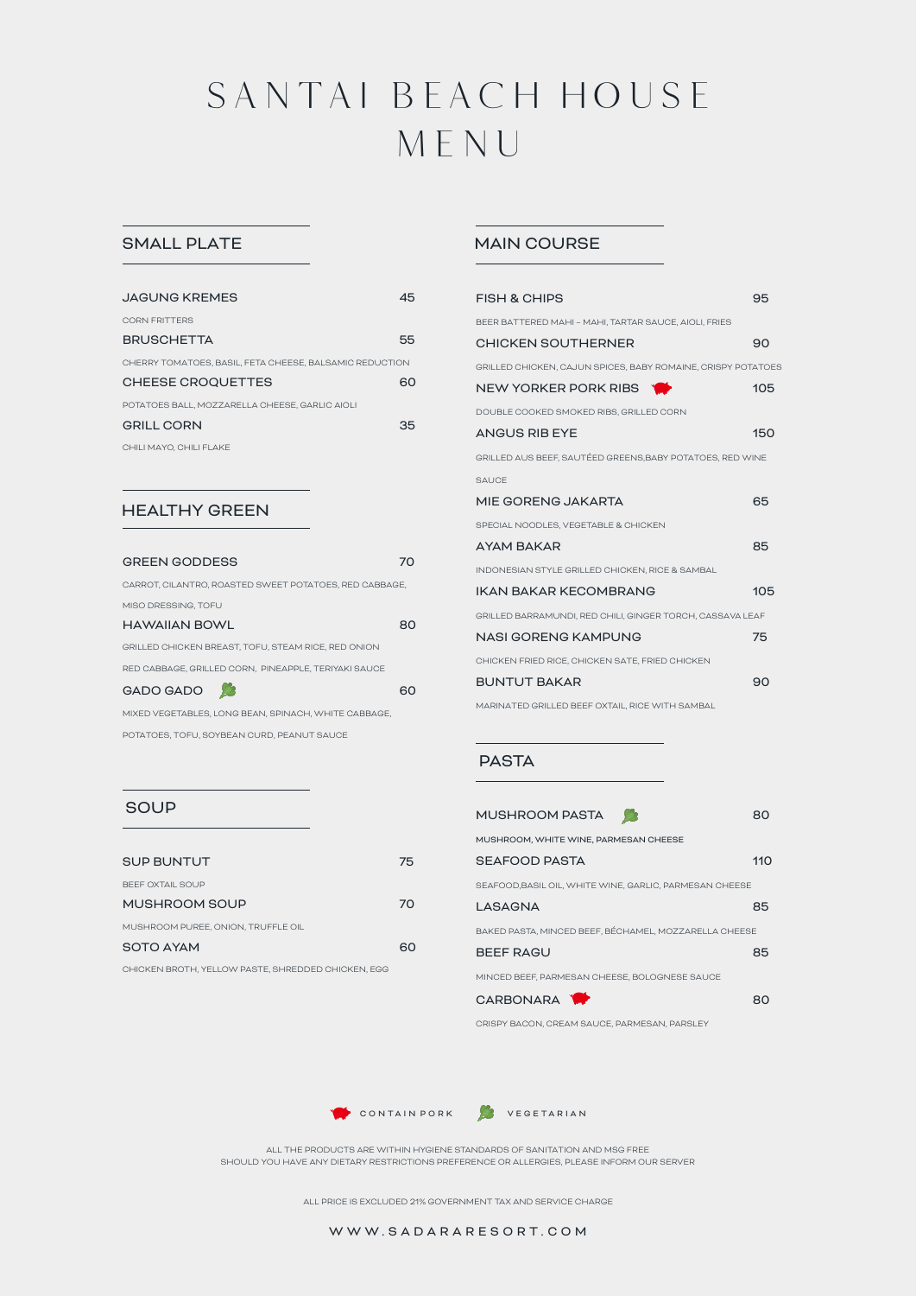# SANTAI BEACH HOUSE M ENU

## SMALL PLATE

| <b>JAGUNG KREMES</b>                                    | 45 |
|---------------------------------------------------------|----|
| CORN FRITTERS                                           |    |
| <b>BRUSCHETTA</b>                                       | 55 |
| CHERRY TOMATOES, BASIL, FETA CHEESE, BALSAMIC REDUCTION |    |
| <b>CHEESE CROQUETTES</b>                                | 60 |
| POTATOES BALL, MOZZARELLA CHEESE, GARLIC AIOLI          |    |
| <b>GRILL CORN</b>                                       | 35 |
| CHILI MAYO, CHILI FLAKE                                 |    |

### HEALTHY GREEN

**SOUP** 

BEEF OXTAIL SOUP

MUSHROOM PUREE, ONION, TRUFFLE OIL

| <b>GREEN GODDESS</b>                                   |    |
|--------------------------------------------------------|----|
| CARROT, CILANTRO, ROASTED SWEET POTATOES, RED CABBAGE. |    |
| MISO DRESSING, TOFU                                    |    |
| HAWAIIAN BOWL                                          | 80 |
| GRILLED CHICKEN BREAST, TOFU, STEAM RICE, RED ONION    |    |
| RED CABBAGE, GRILLED CORN. PINEAPPLE, TERIYAKI SAUCE   |    |
| GADO GADO                                              | ഭറ |
| MIXED VEGETABLES, LONG BEAN, SPINACH, WHITE CABBAGE.   |    |
| POTATOES. TOFU. SOYBEAN CURD. PEANUT SAUCE             |    |

SUP BUNTUT 75

MUSHROOM SOUP 70

SOTO AYAM 60 CHICKEN BROTH, YELLOW PASTE, SHREDDED CHICKEN, EGG

# MAIN COURSE

| FISH & CHIPS                                                 | 95  |
|--------------------------------------------------------------|-----|
| BEER BATTERED MAHI - MAHI, TARTAR SAUCE, AIOLI, FRIES        |     |
| <b>CHICKEN SOUTHERNER</b>                                    | 90  |
| GRILLED CHICKEN, CAJUN SPICES, BABY ROMAINE, CRISPY POTATOES |     |
| NEW YORKER PORK RIBS                                         | 105 |
| DOUBLE COOKED SMOKED RIBS, GRILLED CORN                      |     |
| <b>ANGUS RIB EYE</b>                                         | 150 |
| GRILLED AUS BEEF, SAUTÉED GREENS, BABY POTATOES, RED WINE    |     |
| <b>SAUCE</b>                                                 |     |
| MIE GORENG JAKARTA                                           | 65  |
| SPECIAL NOODLES, VEGETABLE & CHICKEN                         |     |
| <b>AYAM BAKAR</b>                                            | 85  |
| INDONESIAN STYLE GRILLED CHICKEN, RICE & SAMBAL              |     |
| <b>IKAN BAKAR KFCOMBRANG</b>                                 | 105 |
| GRILLED BARRAMUNDI, RED CHILI, GINGER TORCH, CASSAVA LEAF    |     |
| <b>NASI GORENG KAMPUNG</b>                                   | 75  |
| CHICKEN FRIED RICE, CHICKEN SATE, FRIED CHICKEN              |     |
| <b>BUNTUT BAKAR</b>                                          | 90  |
| MARINATED GRILLED BEEF OXTAIL, RICE WITH SAMBAL              |     |

### PASTA

| MUSHROOM PASTA                                          |      |
|---------------------------------------------------------|------|
| MUSHROOM, WHITE WINE, PARMESAN CHEESE                   |      |
| SEAFOOD PASTA                                           | 11 O |
| SEAFOOD, BASIL OIL, WHITE WINE, GARLIC, PARMESAN CHEESE |      |
| I ASAGNA                                                | 85   |
| BAKED PASTA, MINCED BEEF, BÉCHAMEL, MOZZARELLA CHEESE   |      |
| <b>BEEF RAGU</b>                                        | 85   |
| MINCED BEEF, PARMESAN CHEESE, BOLOGNESE SAUCE           |      |
| CARBONARA                                               |      |
|                                                         |      |

CRISPY BACON, CREAM SAUCE, PARMESAN, PARSLEY





ALL THE PRODUCTS ARE WITHIN HYGIENE STANDARDS OF SANITATION AND MSG FREE SHOULD YOU HAVE ANY DIETARY RESTRICTIONS PREFERENCE OR ALLERGIES, PLEASE INFORM OUR SERVER

ALL PRICE IS EXCLUDED 21% GOVERNMENT TAX AND SERVICE CHARGE

#### WWW.SADARARESORT.COM